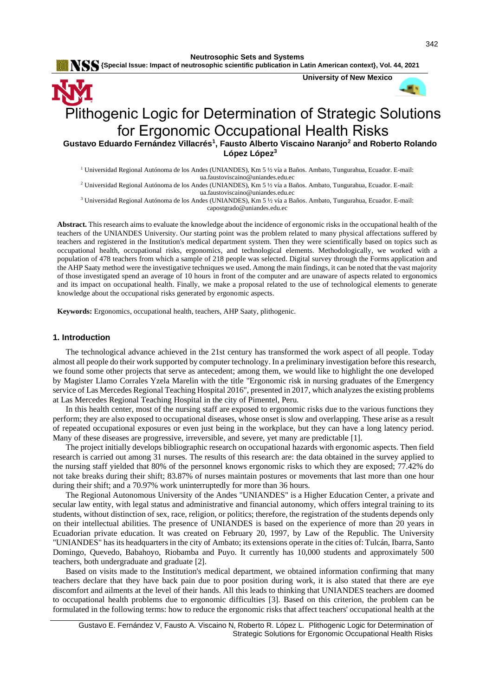**Neutrosophic Sets and Systems**

 **{Special Issue: Impact of neutrosophic scientific publication in Latin American context}, Vol. 44, 2021**



# for Ergonomic Occupational Health Risks **Gustavo Eduardo Fernández Villacrés<sup>1</sup> , Fausto Alberto Viscaino Naranjo<sup>2</sup> and Roberto Rolando López López<sup>3</sup>**

<sup>1</sup> Universidad Regional Autónoma de los Andes (UNIANDES), Km 5 ½ vía a Baños. Ambato, Tungurahua, Ecuador. E-mail: [ua.faustoviscaino@uniandes.edu.ec](mailto:ua.faustoviscaino@uniandes.edu.ec)

<sup>2</sup> Universidad Regional Autónoma de los Andes (UNIANDES), Km 5 ½ vía a Baños. Ambato, Tungurahua, Ecuador. E-mail: [ua.faustoviscaino@uniandes.edu.ec](mailto:ua.faustoviscaino@uniandes.edu.ec)

<sup>3</sup> Universidad Regional Autónoma de los Andes (UNIANDES), Km 5 ½ vía a Baños. Ambato, Tungurahua, Ecuador. E-mail: [capostgrado@uniandes.edu.ec](mailto:capostgrado@uniandes.edu.ec)

**Abstract.** This research aims to evaluate the knowledge about the incidence of ergonomic risks in the occupational health of the teachers of the UNIANDES University. Our starting point was the problem related to many physical affectations suffered by teachers and registered in the Institution's medical department system. Then they were scientifically based on topics such as occupational health, occupational risks, ergonomics, and technological elements. Methodologically, we worked with a population of 478 teachers from which a sample of 218 people was selected. Digital survey through the Forms application and the AHP Saaty method were the investigative techniques we used. Among the main findings, it can be noted that the vast majority of those investigated spend an average of 10 hours in front of the computer and are unaware of aspects related to ergonomics and its impact on occupational health. Finally, we make a proposal related to the use of technological elements to generate knowledge about the occupational risks generated by ergonomic aspects.

**Keywords:** Ergonomics, occupational health, teachers, AHP Saaty, plithogenic.

#### **1. Introduction**

The technological advance achieved in the 21st century has transformed the work aspect of all people. Today almost all people do their work supported by computer technology. In a preliminary investigation before this research, we found some other projects that serve as antecedent; among them, we would like to highlight the one developed by Magister Llamo Corrales Yzela Marelin with the title "Ergonomic risk in nursing graduates of the Emergency service of Las Mercedes Regional Teaching Hospital 2016", presented in 2017, which analyzes the existing problems at Las Mercedes Regional Teaching Hospital in the city of Pimentel, Peru.

In this health center, most of the nursing staff are exposed to ergonomic risks due to the various functions they perform; they are also exposed to occupational diseases, whose onset is slow and overlapping. These arise as a result of repeated occupational exposures or even just being in the workplace, but they can have a long latency period. Many of these diseases are progressive, irreversible, and severe, yet many are predictable [\[1\]](#page-12-0).

The project initially develops bibliographic research on occupational hazards with ergonomic aspects. Then field research is carried out among 31 nurses. The results of this research are: the data obtained in the survey applied to the nursing staff yielded that 80% of the personnel knows ergonomic risks to which they are exposed; 77.42% do not take breaks during their shift; 83.87% of nurses maintain postures or movements that last more than one hour during their shift; and a 70.97% work uninterruptedly for more than 36 hours.

The Regional Autonomous University of the Andes "UNIANDES" is a Higher Education Center, a private and secular law entity, with legal status and administrative and financial autonomy, which offers integral training to its students, without distinction of sex, race, religion, or politics; therefore, the registration of the students depends only on their intellectual abilities. The presence of UNIANDES is based on the experience of more than 20 years in Ecuadorian private education. It was created on February 20, 1997, by Law of the Republic. The University "UNIANDES" has its headquarters in the city of Ambato; its extensions operate in the cities of: Tulcán, Ibarra, Santo Domingo, Quevedo, Babahoyo, Riobamba and Puyo. It currently has 10,000 students and approximately 500 teachers, both undergraduate and graduate [\[2\]](#page-12-1).

Based on visits made to the Institution's medical department, we obtained information confirming that many teachers declare that they have back pain due to poor position during work, it is also stated that there are eye discomfort and ailments at the level of their hands. All this leads to thinking that UNIANDES teachers are doomed to occupational health problems due to ergonomic difficulties [\[3\]](#page-12-2). Based on this criterion, the problem can be formulated in the following terms: how to reduce the ergonomic risks that affect teachers' occupational health at the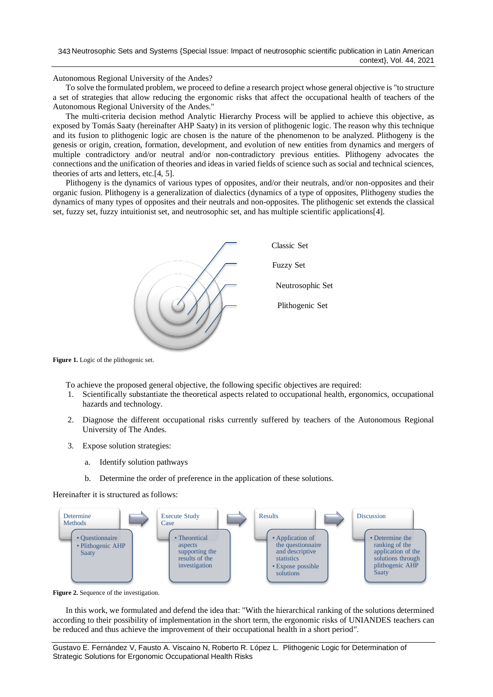Autonomous Regional University of the Andes?

To solve the formulated problem, we proceed to define a research project whose general objective is "to structure a set of strategies that allow reducing the ergonomic risks that affect the occupational health of teachers of the Autonomous Regional University of the Andes."

The multi-criteria decision method Analytic Hierarchy Process will be applied to achieve this objective, as exposed by Tomás Saaty (hereinafter AHP Saaty) in its version of plithogenic logic. The reason why this technique and its fusion to plithogenic logic are chosen is the nature of the phenomenon to be analyzed. Plithogeny is the genesis or origin, creation, formation, development, and evolution of new entities from dynamics and mergers of multiple contradictory and/or neutral and/or non-contradictory previous entities. Plithogeny advocates the connections and the unification of theories and ideas in varied fields of science such as social and technical sciences, theories of arts and letters, etc.[\[4,](#page-12-3) [5\]](#page-13-0).

Plithogeny is the dynamics of various types of opposites, and/or their neutrals, and/or non-opposites and their organic fusion. Plithogeny is a generalization of dialectics (dynamics of a type of opposites, Plithogeny studies the dynamics of many types of opposites and their neutrals and non-opposites. The plithogenic set extends the classical set, fuzzy set, fuzzy intuitionist set, and neutrosophic set, and has multiple scientific applications[\[4\]](#page-12-3).



**Figure 1.** Logic of the plithogenic set.

To achieve the proposed general objective, the following specific objectives are required:

- 1. Scientifically substantiate the theoretical aspects related to occupational health, ergonomics, occupational hazards and technology.
- 2. Diagnose the different occupational risks currently suffered by teachers of the Autonomous Regional University of The Andes.
- 3. Expose solution strategies:
	- a. Identify solution pathways
	- b. Determine the order of preference in the application of these solutions.

Hereinafter it is structured as follows:



**Figure 2.** Sequence of the investigation.

In this work, we formulated and defend the idea that: "With the hierarchical ranking of the solutions determined according to their possibility of implementation in the short term, the ergonomic risks of UNIANDES teachers can be reduced and thus achieve the improvement of their occupational health in a short period".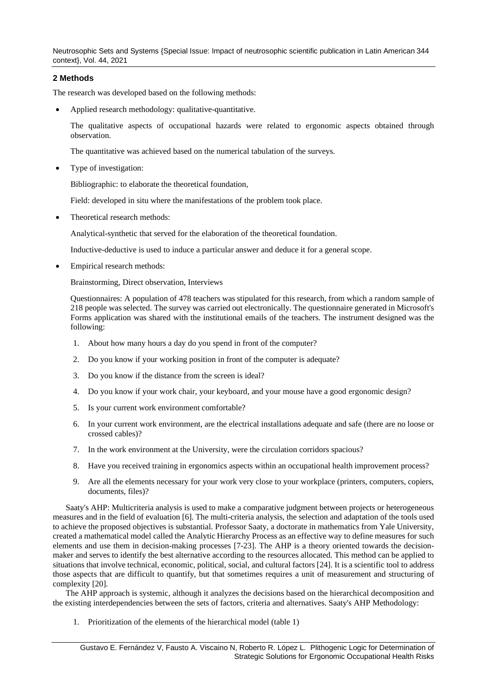Neutrosophic Sets and Systems {Special Issue: Impact of neutrosophic scientific publication in Latin American 344 context}, Vol. 44, 2021

# **2 Methods**

The research was developed based on the following methods:

• Applied research methodology: qualitative-quantitative.

The qualitative aspects of occupational hazards were related to ergonomic aspects obtained through observation.

The quantitative was achieved based on the numerical tabulation of the surveys.

Type of investigation:

Bibliographic: to elaborate the theoretical foundation,

Field: developed in situ where the manifestations of the problem took place.

Theoretical research methods:

Analytical-synthetic that served for the elaboration of the theoretical foundation.

Inductive-deductive is used to induce a particular answer and deduce it for a general scope.

• Empirical research methods:

Brainstorming, Direct observation, Interviews

Questionnaires: A population of 478 teachers was stipulated for this research, from which a random sample of 218 people was selected. The survey was carried out electronically. The questionnaire generated in Microsoft's Forms application was shared with the institutional emails of the teachers. The instrument designed was the following:

- 1. About how many hours a day do you spend in front of the computer?
- 2. Do you know if your working position in front of the computer is adequate?
- 3. Do you know if the distance from the screen is ideal?
- 4. Do you know if your work chair, your keyboard, and your mouse have a good ergonomic design?
- 5. Is your current work environment comfortable?
- 6. In your current work environment, are the electrical installations adequate and safe (there are no loose or crossed cables)?
- 7. In the work environment at the University, were the circulation corridors spacious?
- 8. Have you received training in ergonomics aspects within an occupational health improvement process?
- 9. Are all the elements necessary for your work very close to your workplace (printers, computers, copiers, documents, files)?

Saaty's AHP: Multicriteria analysis is used to make a comparative judgment between projects or heterogeneous measures and in the field of evaluation [\[6\]](#page-13-1). The multi-criteria analysis, the selection and adaptation of the tools used to achieve the proposed objectives is substantial. Professor Saaty, a doctorate in mathematics from Yale University, created a mathematical model called the Analytic Hierarchy Process as an effective way to define measures for such elements and use them in decision-making processes [\[7-23\]](#page-13-2). The AHP is a theory oriented towards the decisionmaker and serves to identify the best alternative according to the resources allocated. This method can be applied to situations that involve technical, economic, political, social, and cultural factors [\[24\]](#page-13-3). It is a scientific tool to address those aspects that are difficult to quantify, but that sometimes requires a unit of measurement and structuring of complexity [\[20\]](#page-13-4).

The AHP approach is systemic, although it analyzes the decisions based on the hierarchical decomposition and the existing interdependencies between the sets of factors, criteria and alternatives. Saaty's AHP Methodology:

1. Prioritization of the elements of the hierarchical model (table 1)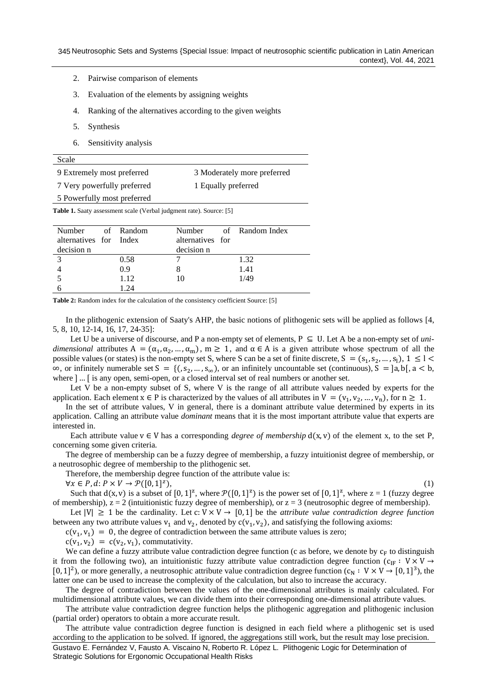- 2. Pairwise comparison of elements
- 3. Evaluation of the elements by assigning weights
- 4. Ranking of the alternatives according to the given weights
- 5. Synthesis
- 6. Sensitivity analysis

| 9 Extremely most preferred  | 3 Moderately more preferred |
|-----------------------------|-----------------------------|
| 7 Very powerfully preferred | 1 Equally preferred         |

5 Powerfully most preferred

**Table 1.** Saaty assessment scale (Verbal judgment rate). Source: [5]

| Number of Random       |      |                  | Number of Random Index |
|------------------------|------|------------------|------------------------|
|                        |      |                  |                        |
| alternatives for Index |      | alternatives for |                        |
| decision n             |      | decision n       |                        |
| $\mathcal{R}$          | 0.58 |                  | 1.32                   |
|                        | 0.9  |                  | 1.41                   |
|                        | 1.12 |                  | 1/49                   |
|                        | 1 94 |                  |                        |

**Table 2:** Random index for the calculation of the consistency coefficient Source: [5]

In the plithogenic extension of Saaty's AHP, the basic notions of plithogenic sets will be applied as follows [\[4,](#page-12-3) [5,](#page-13-0) [8,](#page-13-5) [10,](#page-13-6) [12-14,](#page-13-7) [16,](#page-13-8) [17,](#page-13-9) [24-35\]](#page-13-3):

Let U be a universe of discourse, and P a non-empty set of elements,  $P \subseteq U$ . Let A be a non-empty set of *unidimensional* attributes  $A = (\alpha_1, \alpha_2, ..., \alpha_m)$ ,  $m \ge 1$ , and  $\alpha \in A$  is a given attribute whose spectrum of all the possible values (or states) is the non-empty set S, where S can be a set of finite discrete,  $S = (s_1, s_2, ..., s_l)$ ,  $1 \le l <$  $\infty$ , or infinitely numerable set S = {(, s<sub>2</sub>, ..., s<sub>∞</sub>), or an infinitely uncountable set (continuous), S = [a, b[, a < b, where ] ... [ is any open, semi-open, or a closed interval set of real numbers or another set.

Let V be a non-empty subset of S, where V is the range of all attribute values needed by experts for the application. Each element  $x \in P$  is characterized by the values of all attributes in  $V = (v_1, v_2, ..., v_n)$ , for  $n \ge 1$ .

In the set of attribute values, V in general, there is a dominant attribute value determined by experts in its application. Calling an attribute value *dominant* means that it is the most important attribute value that experts are interested in.

Each attribute value  $v \in V$  has a corresponding *degree of membership*  $d(x, v)$  of the element x, to the set P, concerning some given criteria.

The degree of membership can be a fuzzy degree of membership, a fuzzy intuitionist degree of membership, or a neutrosophic degree of membership to the plithogenic set.

Therefore, the membership degree function of the attribute value is:

 $\forall x \in P, d: P \times V \rightarrow \mathcal{P}([0,1]^z)$ 

 $),$  (1)

Such that  $d(x, v)$  is a subset of  $[0, 1]^z$ , where  $\mathcal{P}([0, 1]^z)$  is the power set of  $[0, 1]^z$ , where  $z = 1$  (fuzzy degree of membership),  $z = 2$  (intuitionistic fuzzy degree of membership), or  $z = 3$  (neutrosophic degree of membership).

Let  $|V| \ge 1$  be the cardinality. Let  $c: V \times V \rightarrow [0, 1]$  be the *attribute value contradiction degree function* between any two attribute values  $v_1$  and  $v_2$ , denoted by  $c(v_1, v_2)$ , and satisfying the following axioms:

 $c(v_1, v_1) = 0$ , the degree of contradiction between the same attribute values is zero;

 $c(v_1, v_2) = c(v_2, v_1)$ , commutativity.

We can define a fuzzy attribute value contradiction degree function (c as before, we denote by  $c_F$  to distinguish it from the following two), an intuitionistic fuzzy attribute value contradiction degree function (c<sub>IF</sub> : V × V → [0, 1]<sup>2</sup>), or more generally, a neutrosophic attribute value contradiction degree function  $(c_N : V \times V \rightarrow [0, 1]^3)$ , the latter one can be used to increase the complexity of the calculation, but also to increase the accuracy.

The degree of contradiction between the values of the one-dimensional attributes is mainly calculated. For multidimensional attribute values, we can divide them into their corresponding one-dimensional attribute values.

The attribute value contradiction degree function helps the plithogenic aggregation and plithogenic inclusion (partial order) operators to obtain a more accurate result.

The attribute value contradiction degree function is designed in each field where a plithogenic set is used according to the application to be solved. If ignored, the aggregations still work, but the result may lose precision.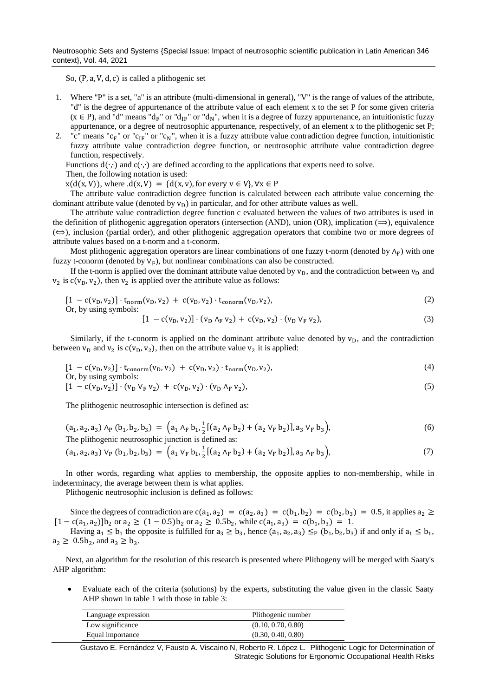Neutrosophic Sets and Systems {Special Issue: Impact of neutrosophic scientific publication in Latin American 346 context}, Vol. 44, 2021

So, (P, a, V, d, c) is called a plithogenic set

- 1. Where "P" is a set, "a" is an attribute (multi-dimensional in general), "V" is the range of values of the attribute, "d" is the degree of appurtenance of the attribute value of each element x to the set P for some given criteria ( $x \in P$ ), and "d" means "d<sub>F</sub>" or "d<sub>IF</sub>" or "d<sub>N</sub>", when it is a degree of fuzzy appurtenance, an intuitionistic fuzzy appurtenance, or a degree of neutrosophic appurtenance, respectively, of an element x to the plithogenic set P;
- 2. "c" means " $c_F$ " or " $c_{IF}$ " or " $c_N$ ", when it is a fuzzy attribute value contradiction degree function, intuitionistic fuzzy attribute value contradiction degree function, or neutrosophic attribute value contradiction degree function, respectively.

Functions  $d(\cdot, \cdot)$  and  $c(\cdot, \cdot)$  are defined according to the applications that experts need to solve.

Then, the following notation is used:

 $x(d(x, V))$ , where  $.d(x, V) = {d(x, v)}$ , for every  $v \in V$ ,  $\forall x \in P$ 

The attribute value contradiction degree function is calculated between each attribute value concerning the dominant attribute value (denoted by  $v_D$ ) in particular, and for other attribute values as well.

The attribute value contradiction degree function c evaluated between the values of two attributes is used in the definition of plithogenic aggregation operators (intersection (AND), union (OR), implication ( $\implies$ ), equivalence  $(\Leftrightarrow)$ , inclusion (partial order), and other plithogenic aggregation operators that combine two or more degrees of attribute values based on a t-norm and a t-conorm.

Most plithogenic aggregation operators are linear combinations of one fuzzy t-norm (denoted by  $\Lambda_F$ ) with one fuzzy t-conorm (denoted by  $V_F$ ), but nonlinear combinations can also be constructed.

If the t-norm is applied over the dominant attribute value denoted by  $v_D$ , and the contradiction between  $v_D$  and  $v_2$  is  $c(v_0, v_2)$ , then  $v_2$  is applied over the attribute value as follows:

$$
[1 - c(v_D, v_2)] \cdot t_{norm}(v_D, v_2) + c(v_D, v_2) \cdot t_{conorm}(v_D, v_2), \tag{2}
$$

Or, by using symbols:

$$
[1 - c(v_D, v_2)] \cdot (v_D \wedge_F v_2) + c(v_D, v_2) \cdot (v_D \vee_F v_2), \tag{3}
$$

Similarly, if the t-conorm is applied on the dominant attribute value denoted by  $v<sub>D</sub>$ , and the contradiction between  $v_D$  and  $v_2$  is  $c(v_D, v_2)$ , then on the attribute value  $v_2$  it is applied:

$$
[1 - c(v_D, v_2)] \cdot t_{\text{conorm}}(v_D, v_2) + c(v_D, v_2) \cdot t_{\text{norm}}(v_D, v_2),
$$
  
Or, by using symbols: (4)

$$
[1 - c(v_D, v_2)] \cdot (v_D \vee_F v_2) + c(v_D, v_2) \cdot (v_D \wedge_F v_2), \tag{5}
$$

The plithogenic neutrosophic intersection is defined as:

$$
(a_1, a_2, a_3) \wedge_P (b_1, b_2, b_3) = (a_1 \wedge_F b_1, \frac{1}{2} [(a_2 \wedge_F b_2) + (a_2 \vee_F b_2)], a_3 \vee_F b_3),
$$
  
The *plithogenic neutrosophic junction is defined as:* (6)

$$
(a_1, a_2, a_3) \vee_{P} (b_1, b_2, b_3) = (a_1 \vee_{F} b_1, \frac{1}{2} [(a_2 \wedge_{F} b_2) + (a_2 \vee_{F} b_2)], a_3 \wedge_{F} b_3),
$$
\n(7)

In other words, regarding what applies to membership, the opposite applies to non-membership, while in indeterminacy, the average between them is what applies.

Plithogenic neutrosophic inclusion is defined as follows:

Since the degrees of contradiction are  $c(a_1, a_2) = c(a_2, a_3) = c(b_1, b_2) = c(b_2, b_3) = 0.5$ , it applies  $a_2 \ge$  $[1 - c(a_1, a_2)]b_2$  or  $a_2 \ge (1 - 0.5)b_2$  or  $a_2 \ge 0.5b_2$ , while  $c(a_1, a_3) = c(b_1, b_3) = 1$ .

Having  $a_1 \leq b_1$  the opposite is fulfilled for  $a_3 \geq b_3$ , hence  $(a_1, a_2, a_3) \leq_p (b_1, b_2, b_3)$  if and only if  $a_1 \leq b_1$ ,  $a_2 \geq 0.5b_2$ , and  $a_3 \geq b_3$ .

Next, an algorithm for the resolution of this research is presented where Plithogeny will be merged with Saaty's AHP algorithm:

• Evaluate each of the criteria (solutions) by the experts, substituting the value given in the classic Saaty AHP shown in table 1 with those in table 3:

| Language expression | Plithogenic number |
|---------------------|--------------------|
| Low significance    | (0.10, 0.70, 0.80) |
| Equal importance    | (0.30, 0.40, 0.80) |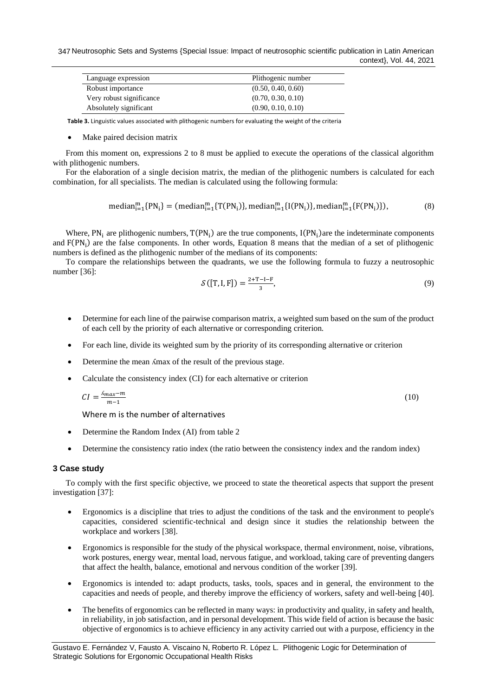347 Neutrosophic Sets and Systems {Special Issue: Impact of neutrosophic scientific publication in Latin American context}, Vol. 44, 2021

| Language expression      | Plithogenic number |
|--------------------------|--------------------|
| Robust importance        | (0.50, 0.40, 0.60) |
| Very robust significance | (0.70, 0.30, 0.10) |
| Absolutely significant   | (0.90, 0.10, 0.10) |

**Table 3.** Linguistic values associated with plithogenic numbers for evaluating the weight of the criteria

Make paired decision matrix

From this moment on, expressions 2 to 8 must be applied to execute the operations of the classical algorithm with plithogenic numbers.

For the elaboration of a single decision matrix, the median of the plithogenic numbers is calculated for each combination, for all specialists. The median is calculated using the following formula:

$$
\text{median}_{i=1}^m \{PN_i\} = (\text{median}_{i=1}^m \{T(PN_i)\}, \text{median}_{i=1}^m \{I(PN_i)\}, \text{median}_{i=1}^m \{F(PN_i)\}),\tag{8}
$$

Where,  $PN_i$  are plithogenic numbers,  $T(PN_i)$  are the true components,  $I(PN_i)$  are the indeterminate components and  $F(PN<sub>i</sub>)$  are the false components. In other words, Equation 8 means that the median of a set of plithogenic numbers is defined as the plithogenic number of the medians of its components:

To compare the relationships between the quadrants, we use the following formula to fuzzy a neutrosophic number [\[36\]](#page-14-0):

$$
\mathcal{S}([T, I, F]) = \frac{2 + T - I - F}{3},\tag{9}
$$

- Determine for each line of the pairwise comparison matrix, a weighted sum based on the sum of the product of each cell by the priority of each alternative or corresponding criterion.
- For each line, divide its weighted sum by the priority of its corresponding alternative or criterion
- Determine the mean  $\Lambda$ max of the result of the previous stage.
- Calculate the consistency index (CI) for each alternative or criterion

$$
CI = \frac{\Delta_{max} - m}{m - 1} \tag{10}
$$

Where m is the number of alternatives

- Determine the Random Index (AI) from table 2
- Determine the consistency ratio index (the ratio between the consistency index and the random index)

#### **3 Case study**

To comply with the first specific objective, we proceed to state the theoretical aspects that support the present investigation [\[37\]](#page-14-1):

- Ergonomics is a discipline that tries to adjust the conditions of the task and the environment to people's capacities, considered scientific-technical and design since it studies the relationship between the workplace and workers [\[38\]](#page-14-2).
- Ergonomics is responsible for the study of the physical workspace, thermal environment, noise, vibrations, work postures, energy wear, mental load, nervous fatigue, and workload, taking care of preventing dangers that affect the health, balance, emotional and nervous condition of the worker [\[39\]](#page-14-3).
- Ergonomics is intended to: adapt products, tasks, tools, spaces and in general, the environment to the capacities and needs of people, and thereby improve the efficiency of workers, safety and well-being [\[40\]](#page-14-4).
- The benefits of ergonomics can be reflected in many ways: in productivity and quality, in safety and health, in reliability, in job satisfaction, and in personal development. This wide field of action is because the basic objective of ergonomics is to achieve efficiency in any activity carried out with a purpose, efficiency in the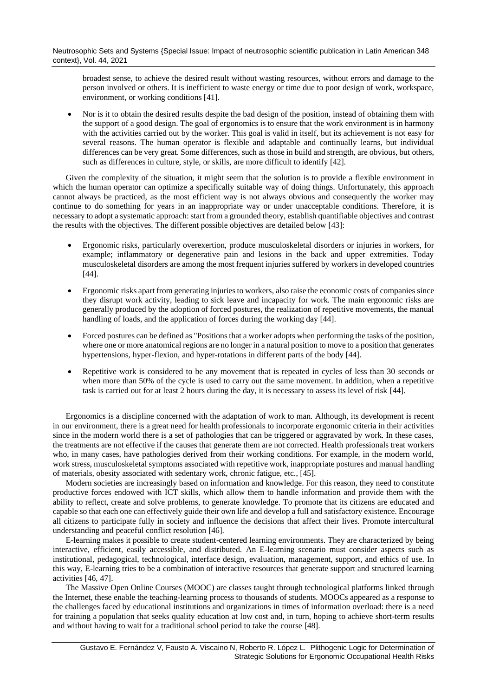broadest sense, to achieve the desired result without wasting resources, without errors and damage to the person involved or others. It is inefficient to waste energy or time due to poor design of work, workspace, environment, or working conditions [\[41\]](#page-14-5).

• Nor is it to obtain the desired results despite the bad design of the position, instead of obtaining them with the support of a good design. The goal of ergonomics is to ensure that the work environment is in harmony with the activities carried out by the worker. This goal is valid in itself, but its achievement is not easy for several reasons. The human operator is flexible and adaptable and continually learns, but individual differences can be very great. Some differences, such as those in build and strength, are obvious, but others, such as differences in culture, style, or skills, are more difficult to identify [\[42\]](#page-14-6).

Given the complexity of the situation, it might seem that the solution is to provide a flexible environment in which the human operator can optimize a specifically suitable way of doing things. Unfortunately, this approach cannot always be practiced, as the most efficient way is not always obvious and consequently the worker may continue to do something for years in an inappropriate way or under unacceptable conditions. Therefore, it is necessary to adopt a systematic approach: start from a grounded theory, establish quantifiable objectives and contrast the results with the objectives. The different possible objectives are detailed below [\[43\]](#page-14-7):

- Ergonomic risks, particularly overexertion, produce musculoskeletal disorders or injuries in workers, for example; inflammatory or degenerative pain and lesions in the back and upper extremities. Today musculoskeletal disorders are among the most frequent injuries suffered by workers in developed countries [\[44\]](#page-14-8).
- Ergonomic risks apart from generating injuries to workers, also raise the economic costs of companies since they disrupt work activity, leading to sick leave and incapacity for work. The main ergonomic risks are generally produced by the adoption of forced postures, the realization of repetitive movements, the manual handling of loads, and the application of forces during the working day [\[44\]](#page-14-8).
- Forced postures can be defined as "Positions that a worker adopts when performing the tasks of the position, where one or more anatomical regions are no longer in a natural position to move to a position that generates hypertensions, hyper-flexion, and hyper-rotations in different parts of the body [\[44\]](#page-14-8).
- Repetitive work is considered to be any movement that is repeated in cycles of less than 30 seconds or when more than 50% of the cycle is used to carry out the same movement. In addition, when a repetitive task is carried out for at least 2 hours during the day, it is necessary to assess its level of risk [\[44\]](#page-14-8).

Ergonomics is a discipline concerned with the adaptation of work to man. Although, its development is recent in our environment, there is a great need for health professionals to incorporate ergonomic criteria in their activities since in the modern world there is a set of pathologies that can be triggered or aggravated by work. In these cases, the treatments are not effective if the causes that generate them are not corrected. Health professionals treat workers who, in many cases, have pathologies derived from their working conditions. For example, in the modern world, work stress, musculoskeletal symptoms associated with repetitive work, inappropriate postures and manual handling of materials, obesity associated with sedentary work, chronic fatigue, etc., [\[45\]](#page-14-9).

Modern societies are increasingly based on information and knowledge. For this reason, they need to constitute productive forces endowed with ICT skills, which allow them to handle information and provide them with the ability to reflect, create and solve problems, to generate knowledge. To promote that its citizens are educated and capable so that each one can effectively guide their own life and develop a full and satisfactory existence. Encourage all citizens to participate fully in society and influence the decisions that affect their lives. Promote intercultural understanding and peaceful conflict resolution [\[46\]](#page-14-10).

E-learning makes it possible to create student-centered learning environments. They are characterized by being interactive, efficient, easily accessible, and distributed. An E-learning scenario must consider aspects such as institutional, pedagogical, technological, interface design, evaluation, management, support, and ethics of use. In this way, E-learning tries to be a combination of interactive resources that generate support and structured learning activities [\[46,](#page-14-10) [47\]](#page-14-11).

The Massive Open Online Courses (MOOC) are classes taught through technological platforms linked through the Internet, these enable the teaching-learning process to thousands of students. MOOCs appeared as a response to the challenges faced by educational institutions and organizations in times of information overload: there is a need for training a population that seeks quality education at low cost and, in turn, hoping to achieve short-term results and without having to wait for a traditional school period to take the course [\[48\]](#page-14-12).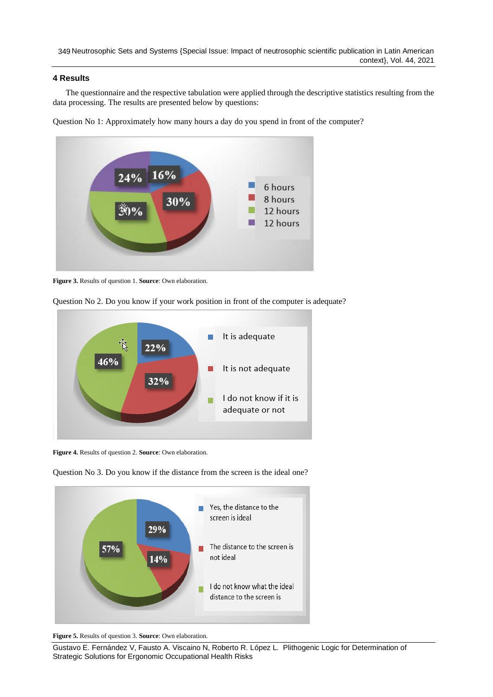## **4 Results**

The questionnaire and the respective tabulation were applied through the descriptive statistics resulting from the data processing. The results are presented below by questions:

Question No 1: Approximately how many hours a day do you spend in front of the computer?



**Figure 3.** Results of question 1. **Source**: Own elaboration.



Question No 2. Do you know if your work position in front of the computer is adequate?

**Figure 4.** Results of question 2. **Source**: Own elaboration.



Question No 3. Do you know if the distance from the screen is the ideal one?

**Figure 5.** Results of question 3. **Source**: Own elaboration.

Gustavo E. Fernández V, Fausto A. Viscaino N, Roberto R. López L. Plithogenic Logic for Determination of Strategic Solutions for Ergonomic Occupational Health Risks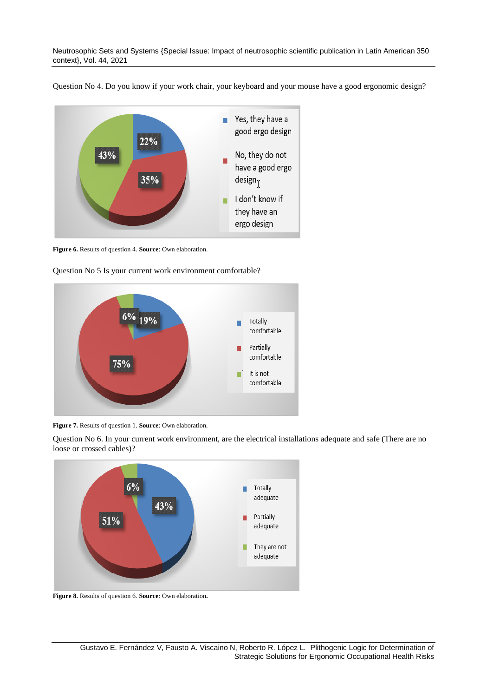Neutrosophic Sets and Systems {Special Issue: Impact of neutrosophic scientific publication in Latin American 350 context}, Vol. 44, 2021

Question No 4. Do you know if your work chair, your keyboard and your mouse have a good ergonomic design?



**Figure 6.** Results of question 4. **Source**: Own elaboration.





**Figure 7.** Results of question 1. **Source**: Own elaboration.

Question No 6. In your current work environment, are the electrical installations adequate and safe (There are no loose or crossed cables)?



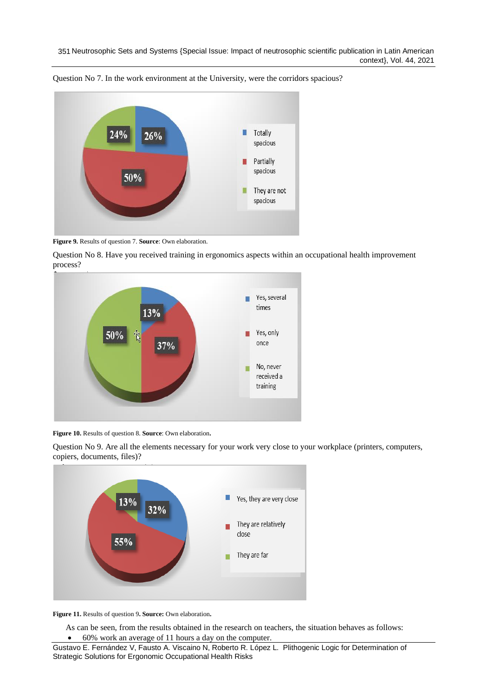

Question No 7. In the work environment at the University, were the corridors spacious?

**Figure 9.** Results of question 7. **Source**: Own elaboration.

Question No 8. Have you received training in ergonomics aspects within an occupational health improvement process?



**Figure 10.** Results of question 8. **Source**: Own elaboration**.**



Question No 9. Are all the elements necessary for your work very close to your workplace (printers, computers, copiers, documents, files)?

**Figure 11.** Results of question 9**. Source:** Own elaboration**.**

As can be seen, from the results obtained in the research on teachers, the situation behaves as follows: • 60% work an average of 11 hours a day on the computer.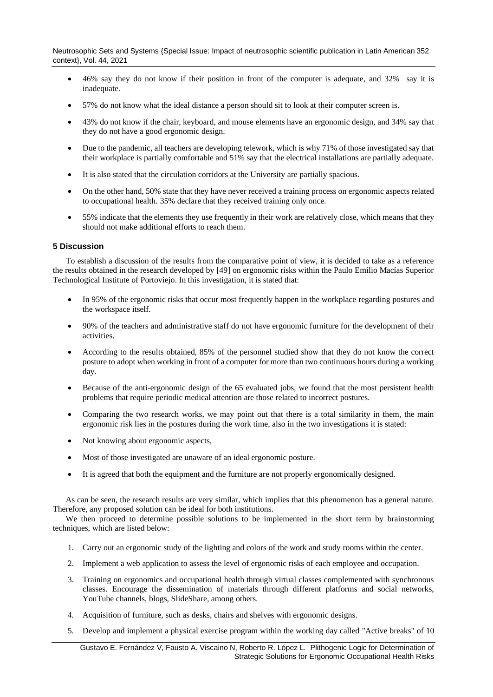Neutrosophic Sets and Systems {Special Issue: Impact of neutrosophic scientific publication in Latin American 352 context}, Vol. 44, 2021

- 46% say they do not know if their position in front of the computer is adequate, and 32% say it is inadequate.
- 57% do not know what the ideal distance a person should sit to look at their computer screen is.
- 43% do not know if the chair, keyboard, and mouse elements have an ergonomic design, and 34% say that they do not have a good ergonomic design.
- Due to the pandemic, all teachers are developing telework, which is why 71% of those investigated say that their workplace is partially comfortable and 51% say that the electrical installations are partially adequate.
- It is also stated that the circulation corridors at the University are partially spacious.
- On the other hand, 50% state that they have never received a training process on ergonomic aspects related to occupational health. 35% declare that they received training only once.
- 55% indicate that the elements they use frequently in their work are relatively close, which means that they should not make additional efforts to reach them.

## **5 Discussion**

To establish a discussion of the results from the comparative point of view, it is decided to take as a reference the results obtained in the research developed by [\[49\]](#page-14-13) on ergonomic risks within the Paulo Emilio Macías Superior Technological Institute of Portoviejo. In this investigation, it is stated that:

- In 95% of the ergonomic risks that occur most frequently happen in the workplace regarding postures and the workspace itself.
- 90% of the teachers and administrative staff do not have ergonomic furniture for the development of their activities.
- According to the results obtained, 85% of the personnel studied show that they do not know the correct posture to adopt when working in front of a computer for more than two continuous hours during a working day.
- Because of the anti-ergonomic design of the 65 evaluated jobs, we found that the most persistent health problems that require periodic medical attention are those related to incorrect postures.
- Comparing the two research works, we may point out that there is a total similarity in them, the main ergonomic risk lies in the postures during the work time, also in the two investigations it is stated:
- Not knowing about ergonomic aspects,
- Most of those investigated are unaware of an ideal ergonomic posture.
- It is agreed that both the equipment and the furniture are not properly ergonomically designed.

As can be seen, the research results are very similar, which implies that this phenomenon has a general nature. Therefore, any proposed solution can be ideal for both institutions.

We then proceed to determine possible solutions to be implemented in the short term by brainstorming techniques, which are listed below:

- 1. Carry out an ergonomic study of the lighting and colors of the work and study rooms within the center.
- 2. Implement a web application to assess the level of ergonomic risks of each employee and occupation.
- 3. Training on ergonomics and occupational health through virtual classes complemented with synchronous classes. Encourage the dissemination of materials through different platforms and social networks, YouTube channels, blogs, SlideShare, among others.
- 4. Acquisition of furniture, such as desks, chairs and shelves with ergonomic designs.
- 5. Develop and implement a physical exercise program within the working day called "Active breaks" of 10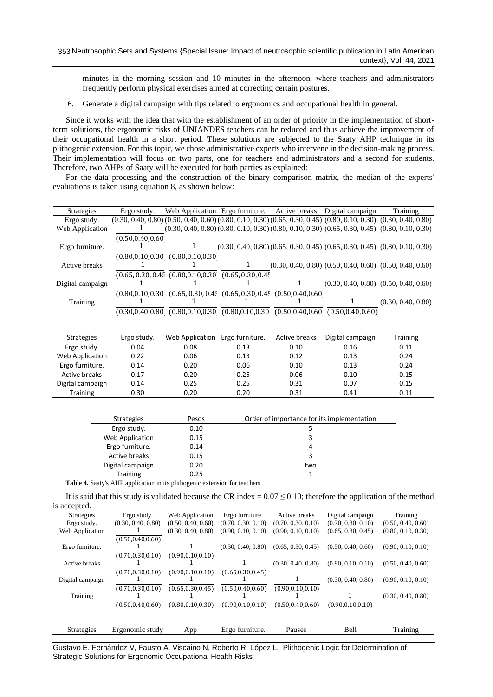minutes in the morning session and 10 minutes in the afternoon, where teachers and administrators frequently perform physical exercises aimed at correcting certain postures.

6. Generate a digital campaign with tips related to ergonomics and occupational health in general.

Since it works with the idea that with the establishment of an order of priority in the implementation of shortterm solutions, the ergonomic risks of UNIANDES teachers can be reduced and thus achieve the improvement of their occupational health in a short period. These solutions are subjected to the Saaty AHP technique in its plithogenic extension. For this topic, we chose administrative experts who intervene in the decision-making process. Their implementation will focus on two parts, one for teachers and administrators and a second for students. Therefore, two AHPs of Saaty will be executed for both parties as explained:

For the data processing and the construction of the binary comparison matrix, the median of the experts' evaluations is taken using equation 8, as shown below:

| <b>Strategies</b> | Ergo study.        | Web Application Ergo furniture.                                            |                                      |                    | Active breaks Digital campaign                                                                                                | Training                                  |
|-------------------|--------------------|----------------------------------------------------------------------------|--------------------------------------|--------------------|-------------------------------------------------------------------------------------------------------------------------------|-------------------------------------------|
| Ergo study.       |                    |                                                                            |                                      |                    | $(0.30, 0.40, 0.80)$ $(0.50, 0.40, 0.60)$ $(0.80, 0.10, 0.30)$ $(0.65, 0.30, 0.45)$ $(0.80, 0.10, 0.30)$ $(0.30, 0.40, 0.80)$ |                                           |
| Web Application   | T                  |                                                                            |                                      |                    | $(0.30, 0.40, 0.80)$ $(0.80, 0.10, 0.30)$ $(0.80, 0.10, 0.30)$ $(0.65, 0.30, 0.45)$ $(0.80, 0.10, 0.30)$                      |                                           |
|                   | (0.50, 0.40, 0.60) |                                                                            |                                      |                    |                                                                                                                               |                                           |
| Ergo furniture.   |                    |                                                                            |                                      |                    | $(0.30, 0.40, 0.80)$ $(0.65, 0.30, 0.45)$ $(0.65, 0.30, 0.45)$ $(0.80, 0.10, 0.30)$                                           |                                           |
|                   |                    | (0.80, 0.10, 0.30, 0.80, 0.10, 0.30)                                       |                                      |                    |                                                                                                                               |                                           |
| Active breaks     |                    |                                                                            | 1                                    |                    | $(0.30, 0.40, 0.80)$ $(0.50, 0.40, 0.60)$ $(0.50, 0.40, 0.60)$                                                                |                                           |
|                   |                    | $(0.65, 0.30, 0.45, 0.80, 0.10, 0.30, 0.65, 0.30, 0.45, 0.30)$             |                                      |                    |                                                                                                                               |                                           |
| Digital campaign  |                    |                                                                            |                                      |                    |                                                                                                                               | $(0.30, 0.40, 0.80)$ $(0.50, 0.40, 0.60)$ |
|                   |                    | $(0.80, 0.10, 0.30, 0.65, 0.30, 0.45, 0.65, 0.30, 0.45, 0.50, 0.40, 0.60)$ |                                      |                    |                                                                                                                               |                                           |
| Training          |                    |                                                                            |                                      |                    |                                                                                                                               | (0.30, 0.40, 0.80)                        |
|                   | (0.30, 0.40, 0.80) |                                                                            | (0.80, 0.10, 0.30, 0.80, 0.10, 0.30) | (0.50, 0.40, 0.60) | (0.50, 0.40, 0.60)                                                                                                            |                                           |
|                   |                    |                                                                            |                                      |                    |                                                                                                                               |                                           |
|                   |                    |                                                                            |                                      |                    |                                                                                                                               |                                           |
| <b>Strategies</b> | Ergo study.        | Web Application                                                            | Ergo furniture.                      | Active breaks      | Digital campaign                                                                                                              | <b>Training</b>                           |
| Ergo study.       | 0.04               | 0.08                                                                       | 0.13                                 | 0.10               | 0.16                                                                                                                          | 0.11                                      |
| Web Application   | 0.22               | 0.06                                                                       | 0.13                                 | 0.12               | 0.13                                                                                                                          | 0.24                                      |
| Ergo furniture.   | 0.14               | 0.20                                                                       | 0.06                                 | 0.10               | 0.13                                                                                                                          | 0.24                                      |
| Active breaks     | 0.17               | 0.20                                                                       | 0.25                                 | 0.06               | 0.10                                                                                                                          | 0.15                                      |
| Digital campaign  | 0.14               | 0.25                                                                       | 0.25                                 | 0.31               | 0.07                                                                                                                          | 0.15                                      |
| <b>Training</b>   | 0.30               | 0.20                                                                       | 0.20                                 | 0.31               | 0.41                                                                                                                          | 0.11                                      |

| <b>Strategies</b> | Pesos | Order of importance for its implementation |
|-------------------|-------|--------------------------------------------|
| Ergo study.       | 0.10  |                                            |
| Web Application   | 0.15  |                                            |
| Ergo furniture.   | 0.14  | 4                                          |
| Active breaks     | 0.15  | 3                                          |
| Digital campaign  | 0.20  | two                                        |
| <b>Training</b>   | 0.25  |                                            |

**Table 4.** Saaty's AHP application in its plithogenic extension for teachers

It is said that this study is validated because the CR index =  $0.07 \le 0.10$ ; therefore the application of the method is accepted.

| <b>Strategies</b> | Ergo study.        | Web Application    | Ergo furniture.    | Active breaks      | Digital campaign   | Training           |
|-------------------|--------------------|--------------------|--------------------|--------------------|--------------------|--------------------|
| Ergo study.       | (0.30, 0.40, 0.80) | (0.50, 0.40, 0.60) | (0.70, 0.30, 0.10) | (0.70, 0.30, 0.10) | (0.70, 0.30, 0.10) | (0.50, 0.40, 0.60) |
| Web Application   |                    | (0.30, 0.40, 0.80) | (0.90, 0.10, 0.10) | (0.90, 0.10, 0.10) | (0.65, 0.30, 0.45) | (0.80, 0.10, 0.30) |
|                   | (0.50, 0.40, 0.60) |                    |                    |                    |                    |                    |
| Ergo furniture.   |                    |                    | (0.30, 0.40, 0.80) | (0.65, 0.30, 0.45) | (0.50, 0.40, 0.60) | (0.90, 0.10, 0.10) |
|                   | (0.70, 0.30, 0.10) | (0.90, 0.10, 0.10) |                    |                    |                    |                    |
| Active breaks     |                    |                    |                    | (0.30, 0.40, 0.80) | (0.90, 0.10, 0.10) | (0.50, 0.40, 0.60) |
|                   | (0.70, 0.30, 0.10) | (0.90, 0.10, 0.10) | (0.65, 0.30, 0.45) |                    |                    |                    |
| Digital campaign  |                    |                    |                    |                    | (0.30, 0.40, 0.80) | (0.90, 0.10, 0.10) |
|                   | (0.70, 0.30, 0.10) | (0.65, 0.30, 0.45) | (0.50, 0.40, 0.60) | (0.90, 0.10, 0.10) |                    |                    |
| Training          |                    |                    |                    |                    |                    | (0.30, 0.40, 0.80) |
|                   | (0.50, 0.40, 0.60) | (0.80, 0.10, 0.30) | (0.90, 0.10, 0.10) | (0.50, 0.40, 0.60) | (0.90, 0.10, 0.10) |                    |
|                   |                    |                    |                    |                    |                    |                    |

| 22222<br>$\cdot$ or $\epsilon$ .<br>۰ تا د | . gonomic<br>studv | Ann | ⊣rα∩<br><b>THE 24 YEAR</b><br>uuure. | Pauses | RAI<br>בוסכי | - |
|--------------------------------------------|--------------------|-----|--------------------------------------|--------|--------------|---|
|                                            |                    |     |                                      |        |              |   |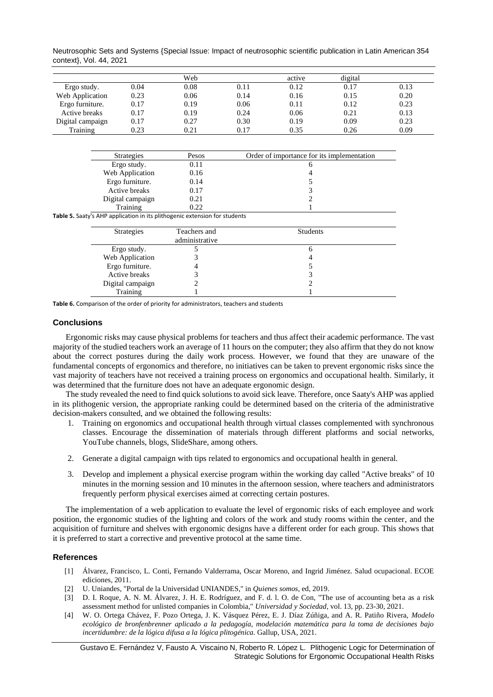Neutrosophic Sets and Systems {Special Issue: Impact of neutrosophic scientific publication in Latin American 354 context}, Vol. 44, 2021

|                  |      | Web  |      | active | digital |      |
|------------------|------|------|------|--------|---------|------|
| Ergo study.      | 0.04 | 0.08 | 0.11 | 0.12   | 0.17    | 0.13 |
| Web Application  | 0.23 | 0.06 | 0.14 | 0.16   | 0.15    | 0.20 |
| Ergo furniture.  | 0.17 | 0.19 | 0.06 | 0.11   | 0.12    | 0.23 |
| Active breaks    | 0.17 | 0.19 | 0.24 | 0.06   | 0.21    | 0.13 |
| Digital campaign | 0.17 | 0.27 | 0.30 | 0.19   | 0.09    | 0.23 |
| Training         | 0.23 | 0.21 | 0.17 | 0.35   | 0.26    | 0.09 |

| <b>Strategies</b>                                                          | Pesos        | Order of importance for its implementation |
|----------------------------------------------------------------------------|--------------|--------------------------------------------|
| Ergo study.                                                                | 0.11         | 6                                          |
| Web Application                                                            | 0.16         |                                            |
| Ergo furniture.                                                            | 0.14         |                                            |
| Active breaks                                                              | 0.17         |                                            |
| Digital campaign                                                           | 0.21         |                                            |
| Training                                                                   | 0.22         |                                            |
| Table 5. Saaty's AHP application in its plithogenic extension for students |              |                                            |
| <b>Strategies</b>                                                          | Teachers and | <b>Students</b>                            |

| <b>Strategies</b> | Teachers and<br>administrative | <b>Students</b> |
|-------------------|--------------------------------|-----------------|
| Ergo study.       |                                | υ               |
| Web Application   |                                |                 |
| Ergo furniture.   |                                |                 |
| Active breaks     |                                |                 |
| Digital campaign  |                                |                 |
| Training          |                                |                 |

**Table 6.** Comparison of the order of priority for administrators, teachers and students

### **Conclusions**

Ergonomic risks may cause physical problems for teachers and thus affect their academic performance. The vast majority of the studied teachers work an average of 11 hours on the computer; they also affirm that they do not know about the correct postures during the daily work process. However, we found that they are unaware of the fundamental concepts of ergonomics and therefore, no initiatives can be taken to prevent ergonomic risks since the vast majority of teachers have not received a training process on ergonomics and occupational health. Similarly, it was determined that the furniture does not have an adequate ergonomic design.

The study revealed the need to find quick solutions to avoid sick leave. Therefore, once Saaty's AHP was applied in its plithogenic version, the appropriate ranking could be determined based on the criteria of the administrative decision-makers consulted, and we obtained the following results:

- 1. Training on ergonomics and occupational health through virtual classes complemented with synchronous classes. Encourage the dissemination of materials through different platforms and social networks, YouTube channels, blogs, SlideShare, among others.
- 2. Generate a digital campaign with tips related to ergonomics and occupational health in general.
- 3. Develop and implement a physical exercise program within the working day called "Active breaks" of 10 minutes in the morning session and 10 minutes in the afternoon session, where teachers and administrators frequently perform physical exercises aimed at correcting certain postures.

The implementation of a web application to evaluate the level of ergonomic risks of each employee and work position, the ergonomic studies of the lighting and colors of the work and study rooms within the center, and the acquisition of furniture and shelves with ergonomic designs have a different order for each group. This shows that it is preferred to start a corrective and preventive protocol at the same time.

### **References**

- <span id="page-12-0"></span>[1] Álvarez, Francisco, L. Conti, Fernando Valderrama, Oscar Moreno, and Ingrid Jiménez. Salud ocupacional. ECOE ediciones, 2011.
- <span id="page-12-1"></span>[2] U. Uniandes, "Portal de la Universidad UNIANDES," in *Quienes somos*, ed, 2019.
- <span id="page-12-2"></span>[3] D. I. Roque, A. N. M. Álvarez, J. H. E. Rodríguez, and F. d. l. O. de Con, "The use of accounting beta as a risk assessment method for unlisted companies in Colombia," *Universidad y Sociedad,* vol. 13, pp. 23-30, 2021.
- <span id="page-12-3"></span>[4] W. O. Ortega Chávez, F. Pozo Ortega, J. K. Vásquez Pérez, E. J. Díaz Zúñiga, and A. R. Patiño Rivera, *Modelo ecológico de bronfenbrenner aplicado a la pedagogía, modelación matemática para la toma de decisiones bajo incertidumbre: de la lógica difusa a la lógica plitogénica.* Gallup, USA, 2021.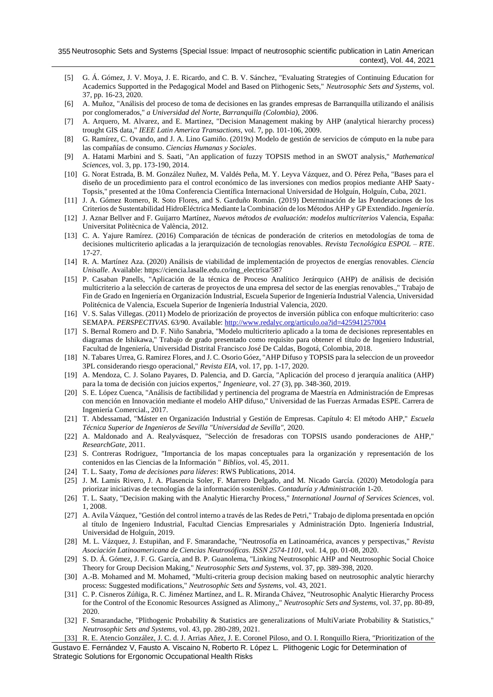- <span id="page-13-0"></span>[5] G. Á. Gómez, J. V. Moya, J. E. Ricardo, and C. B. V. Sánchez, "Evaluating Strategies of Continuing Education for Academics Supported in the Pedagogical Model and Based on Plithogenic Sets," *Neutrosophic Sets and Systems,* vol. 37, pp. 16-23, 2020.
- <span id="page-13-1"></span>[6] A. Muñoz, "Análisis del proceso de toma de decisiones en las grandes empresas de Barranquilla utilizando el análisis por conglomerados," *a Universidad del Norte, Barranquilla (Colombia),* 2006.
- <span id="page-13-2"></span>[7] A. Arquero, M. Alvarez, and E. Martinez, "Decision Management making by AHP (analytical hierarchy process) trought GIS data," *IEEE Latin America Transactions,* vol. 7, pp. 101-106, 2009.
- <span id="page-13-5"></span>[8] G. Ramírez, C. Ovando, and J. A. Lino Gamiño. (2019x) Modelo de gestión de servicios de cómputo en la nube para las compañías de consumo. *Ciencias Humanas y Sociales*.
- [9] A. Hatami Marbini and S. Saati, "An application of fuzzy TOPSIS method in an SWOT analysis," *Mathematical Sciences,* vol. 3, pp. 173-190, 2014.
- <span id="page-13-6"></span>[10] G. Norat Estrada, B. M. González Nuñez, M. Valdés Peña, M. Y. Leyva Vázquez, and O. Pérez Peña, "Bases para el diseño de un procedimiento para el control económico de las inversiones con medios propios mediante AHP Saaty-Topsis," presented at the 10ma Conferencia Científica Internacional Universidad de Holguín, Holguín, Cuba, 2021.
- [11] J. A. Gómez Romero, R. Soto Flores, and S. Garduño Román. (2019) Determinación de las Ponderaciones de los Criterios de Sustentabilidad HidroEléctrica Mediante la Combinación de los Métodos AHP y GP Extendido. *Ingeniería*.
- <span id="page-13-7"></span>[12] J. Aznar Bellver and F. Guijarro Martínez, *Nuevos métodos de evaluación: modelos multicriterios* Valencia, España: Universitat Politècnica de València, 2012.
- [13] C. A. Yajure Ramírez. (2016) Comparación de técnicas de ponderación de criterios en metodologías de toma de decisiones multicriterio aplicadas a la jerarquización de tecnologías renovables. *Revista Tecnológica ESPOL – RTE*. 17-27.
- [14] R. A. Martínez Aza. (2020) Análisis de viabilidad de implementación de proyectos de energías renovables. *Ciencia Unisalle*. Available: https://ciencia.lasalle.edu.co/ing\_electrica/587
- [15] P. Casaban Panells, "Aplicación de la técnica de Proceso Analítico Jerárquico (AHP) de análisis de decisión multicriterio a la selección de carteras de proyectos de una empresa del sector de las energías renovables.," Trabajo de Fin de Grado en Ingeniería en Organización Industrial, Escuela Superior de Ingeniería Industrial Valencia, Universidad Politécnica de Valencia, Escuela Superior de Ingeniería Industrial Valencia, 2020.
- <span id="page-13-8"></span>[16] V. S. Salas Villegas. (2011) Modelo de priorización de proyectos de inversión pública con enfoque multicriterio: caso SEMAPA. *PERSPECTIVAS*. 63/90. Available[: http://www.redalyc.org/articulo.oa?id=425941257004](http://www.redalyc.org/articulo.oa?id=425941257004)
- <span id="page-13-9"></span>[17] S. Bernal Romero and D. F. Niño Sanabria, "Modelo multicriterio aplicado a la toma de decisiones representables en diagramas de Ishikawa," Trabajo de grado presentado como requisito para obtener el título de Ingeniero Industrial, Facultad de Ingeniería, Universidad Distrital Francisco José De Caldas, Bogotá, Colombia, 2018.
- [18] N. Tabares Urrea, G. Ramirez Flores, and J. C. Osorio Góez, "AHP Difuso y TOPSIS para la seleccion de un proveedor 3PL considerando riesgo operacional," *Revista EIA,* vol. 17, pp. 1-17, 2020.
- [19] A. Mendoza, C. J. Solano Payares, D. Palencia, and D. García, "Aplicación del proceso d jerarquía analítica (AHP) para la toma de decisión con juicios expertos," *Ingenieare,* vol. 27 (3), pp. 348-360, 2019.
- <span id="page-13-4"></span>[20] S. E. López Cuenca, "Análisis de factibilidad y pertinencia del programa de Maestría en Administración de Empresas con mención en Innovación mediante el modelo AHP difuso," Universidad de las Fuerzas Armadas ESPE. Carrera de Ingeniería Comercial., 2017.
- [21] T. Abdessamad, "Máster en Organización Industrial y Gestión de Empresas. Capítulo 4: El método AHP," *Escuela Técnica Superior de Ingenieros de Sevilla "Universidad de Sevilla",* 2020.
- [22] A. Maldonado and A. Realyvásquez, "Selección de fresadoras con TOPSIS usando ponderaciones de AHP," *ResearchGate,* 2011.
- [23] S. Contreras Rodriguez, "Importancia de los mapas conceptuales para la organización y representación de los contenidos en las Ciencias de la Información " *Biblios,* vol. 45, 2011.
- <span id="page-13-3"></span>[24] T. L. Saaty, *Toma de decisiones para líderes*: RWS Publications, 2014.
- [25] J. M. Lamis Rivero, J. A. Plasencia Soler, F. Marrero Delgado, and M. Nicado García. (2020) Metodología para priorizar iniciativas de tecnologías de la información sostenibles. *Contaduría y Administración* 1-20.
- [26] T. L. Saaty, "Decision making with the Analytic Hierarchy Process," *International Journal of Services Sciences,* vol. 1, 2008.
- [27] A. Avila Vázquez, "Gestión del control interno a través de las Redes de Petri," Trabajo de diploma presentada en opción al título de Ingeniero Industrial, Facultad Ciencias Empresariales y Administración Dpto. Ingeniería Industrial, Universidad de Holguín, 2019.
- [28] M. L. Vázquez, J. Estupiñan, and F. Smarandache, "Neutrosofía en Latinoamérica, avances y perspectivas," *Revista Asociación Latinoamericana de Ciencias Neutrosóficas. ISSN 2574-1101,* vol. 14, pp. 01-08, 2020.
- [29] S. D. Á. Gómez, J. F. G. García, and B. P. Guanolema, "Linking Neutrosophic AHP and Neutrosophic Social Choice Theory for Group Decision Making," *Neutrosophic Sets and Systems,* vol. 37, pp. 389-398, 2020.
- [30] A.-B. Mohamed and M. Mohamed, "Multi-criteria group decision making based on neutrosophic analytic hierarchy process: Suggested modifications," *Neutrosophic Sets and Systems,* vol. 43, 2021.
- [31] C. P. Cisneros Zúñiga, R. C. Jiménez Martínez, and L. R. Miranda Chávez, "Neutrosophic Analytic Hierarchy Process for the Control of the Economic Resources Assigned as Alimony,," *Neutrosophic Sets and Systems,* vol. 37, pp. 80-89, 2020.
- [32] F. Smarandache, "Plithogenic Probability & Statistics are generalizations of MultiVariate Probability & Statistics," *Neutrosophic Sets and Systems,* vol. 43, pp. 280-289, 2021.
- Gustavo E. Fernández V, Fausto A. Viscaino N, Roberto R. López L. Plithogenic Logic for Determination of Strategic Solutions for Ergonomic Occupational Health Risks [33] R. E. Atencio González, J. C. d. J. Arrias Añez, J. E. Coronel Piloso, and O. I. Ronquillo Riera, "Prioritization of the